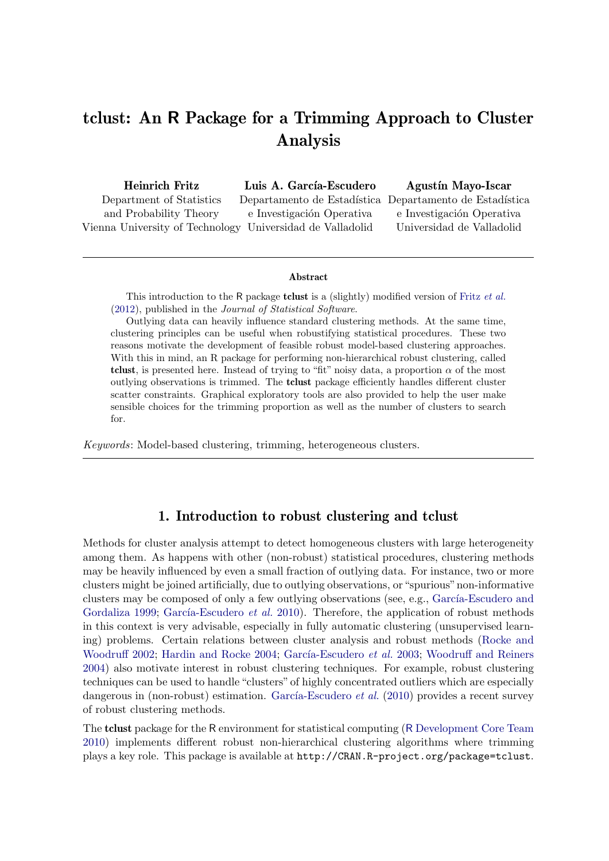# tclust: An R Package for a Trimming Approach to Cluster Analysis

Heinrich Fritz Department of Statistics and Probability Theory Vienna University of Technology Universidad de Valladolid Luis A. García-Escudero Departamento de Estadística Departamento de Estadística e Investigación Operativa Agustín Mayo-Iscar e Investigación Operativa Universidad de Valladolid

#### Abstract

This introduction to the R package **tclust** is a (slightly) modified version of Fritz [et al.](#page-23-0) [\(2012\)](#page-23-0), published in the Journal of Statistical Software.

Outlying data can heavily influence standard clustering methods. At the same time, clustering principles can be useful when robustifying statistical procedures. These two reasons motivate the development of feasible robust model-based clustering approaches. With this in mind, an R package for performing non-hierarchical robust clustering, called tclust, is presented here. Instead of trying to "fit" noisy data, a proportion  $\alpha$  of the most outlying observations is trimmed. The tclust package efficiently handles different cluster scatter constraints. Graphical exploratory tools are also provided to help the user make sensible choices for the trimming proportion as well as the number of clusters to search for.

Keywords: Model-based clustering, trimming, heterogeneous clusters.

#### 1. Introduction to robust clustering and tclust

Methods for cluster analysis attempt to detect homogeneous clusters with large heterogeneity among them. As happens with other (non-robust) statistical procedures, clustering methods may be heavily influenced by even a small fraction of outlying data. For instance, two or more clusters might be joined artificially, due to outlying observations, or"spurious"non-informative clusters may be composed of only a few outlying observations (see, e.g., García-Escudero and [Gordaliza](#page-23-1) [1999;](#page-23-1) García-Escudero et al. [2010\)](#page-23-2). Therefore, the application of robust methods in this context is very advisable, especially in fully automatic clustering (unsupervised learning) problems. Certain relations between cluster analysis and robust methods [\(Rocke and](#page-24-0) [Woodruff](#page-24-0) [2002;](#page-24-0) [Hardin and Rocke](#page-23-3) [2004;](#page-23-3) García-Escudero et al. [2003;](#page-23-4) [Woodruff and Reiners](#page-24-1) [2004\)](#page-24-1) also motivate interest in robust clustering techniques. For example, robust clustering techniques can be used to handle "clusters" of highly concentrated outliers which are especially dangerous in (non-robust) estimation. García-Escudero *et al.* [\(2010\)](#page-23-2) provides a recent survey of robust clustering methods.

The tclust package for the R environment for statistical computing (R [Development Core Team](#page-24-2) [2010\)](#page-24-2) implements different robust non-hierarchical clustering algorithms where trimming plays a key role. This package is available at http://CRAN.R-project.org/package=tclust.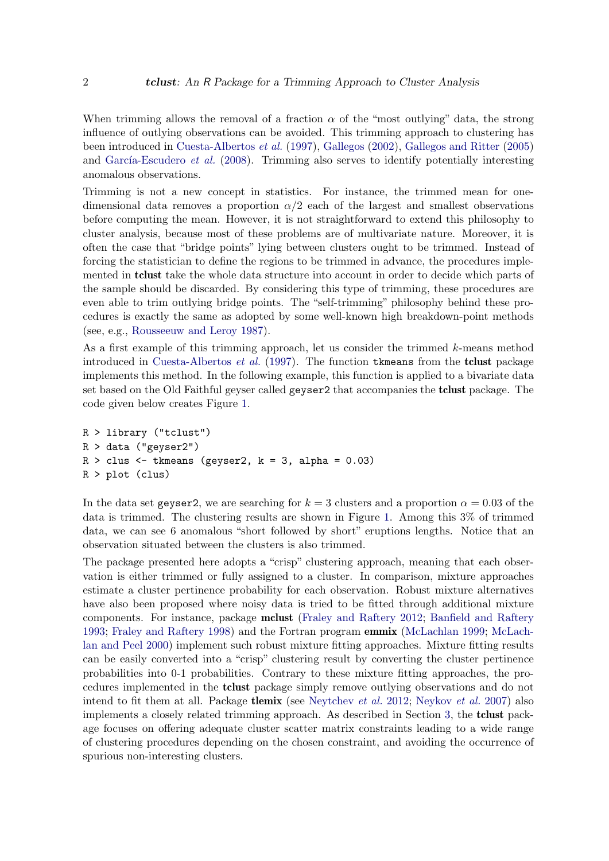When trimming allows the removal of a fraction  $\alpha$  of the "most outlying" data, the strong influence of outlying observations can be avoided. This trimming approach to clustering has been introduced in [Cuesta-Albertos](#page-22-0) et al. [\(1997\)](#page-22-0), [Gallegos](#page-23-5) [\(2002\)](#page-23-5), [Gallegos and Ritter](#page-23-6) [\(2005\)](#page-23-6) and García-Escudero et al.  $(2008)$ . Trimming also serves to identify potentially interesting anomalous observations.

Trimming is not a new concept in statistics. For instance, the trimmed mean for onedimensional data removes a proportion  $\alpha/2$  each of the largest and smallest observations before computing the mean. However, it is not straightforward to extend this philosophy to cluster analysis, because most of these problems are of multivariate nature. Moreover, it is often the case that "bridge points" lying between clusters ought to be trimmed. Instead of forcing the statistician to define the regions to be trimmed in advance, the procedures implemented in tclust take the whole data structure into account in order to decide which parts of the sample should be discarded. By considering this type of trimming, these procedures are even able to trim outlying bridge points. The "self-trimming" philosophy behind these procedures is exactly the same as adopted by some well-known high breakdown-point methods (see, e.g., [Rousseeuw and Leroy](#page-24-3) [1987\)](#page-24-3).

As a first example of this trimming approach, let us consider the trimmed  $k$ -means method introduced in [Cuesta-Albertos](#page-22-0) et al. [\(1997\)](#page-22-0). The function tkmeans from the tclust package implements this method. In the following example, this function is applied to a bivariate data set based on the Old Faithful geyser called geyser2 that accompanies the tclust package. The code given below creates Figure [1.](#page-2-0)

```
R > library ("tclust")
R > data ("geyser2")
R > clus <- tkmeans (geyser2, k = 3, alpha = 0.03)
R > plot (clus)
```
In the data set geyser2, we are searching for  $k = 3$  clusters and a proportion  $\alpha = 0.03$  of the data is trimmed. The clustering results are shown in Figure [1.](#page-2-0) Among this 3% of trimmed data, we can see 6 anomalous "short followed by short" eruptions lengths. Notice that an observation situated between the clusters is also trimmed.

The package presented here adopts a "crisp" clustering approach, meaning that each observation is either trimmed or fully assigned to a cluster. In comparison, mixture approaches estimate a cluster pertinence probability for each observation. Robust mixture alternatives have also been proposed where noisy data is tried to be fitted through additional mixture components. For instance, package mclust [\(Fraley and Raftery](#page-22-1) [2012;](#page-22-1) [Banfield and Raftery](#page-22-2) [1993;](#page-22-2) [Fraley and Raftery](#page-22-3) [1998\)](#page-22-3) and the Fortran program emmix [\(McLachlan](#page-24-4) [1999;](#page-24-4) [McLach](#page-24-5)[lan and Peel](#page-24-5) [2000\)](#page-24-5) implement such robust mixture fitting approaches. Mixture fitting results can be easily converted into a "crisp" clustering result by converting the cluster pertinence probabilities into 0-1 probabilities. Contrary to these mixture fitting approaches, the procedures implemented in the tclust package simply remove outlying observations and do not intend to fit them at all. Package **tlemix** (see [Neytchev](#page-24-6) *et al.* [2012;](#page-24-6) [Neykov](#page-24-7) *et al.* [2007\)](#page-24-7) also implements a closely related trimming approach. As described in Section [3,](#page-4-0) the tclust package focuses on offering adequate cluster scatter matrix constraints leading to a wide range of clustering procedures depending on the chosen constraint, and avoiding the occurrence of spurious non-interesting clusters.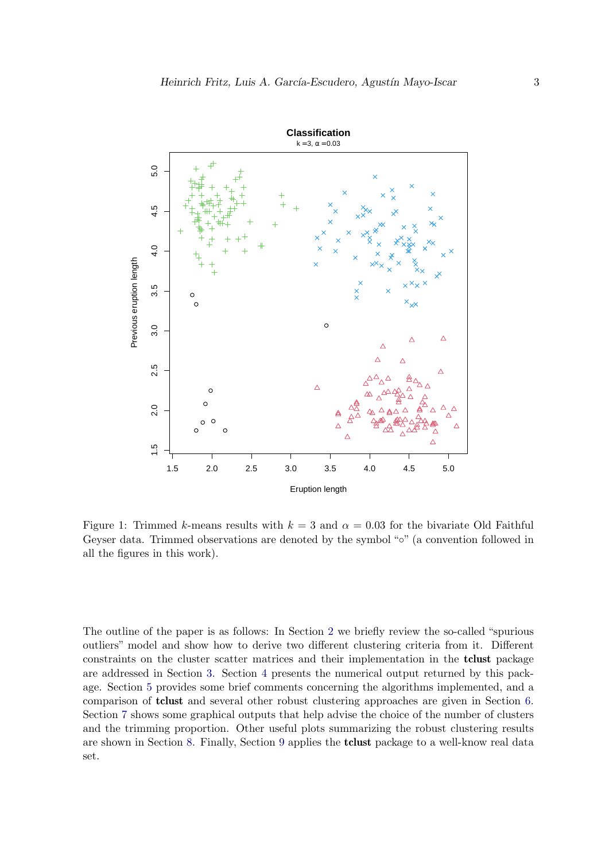

<span id="page-2-0"></span>Figure 1: Trimmed k-means results with  $k = 3$  and  $\alpha = 0.03$  for the bivariate Old Faithful Geyser data. Trimmed observations are denoted by the symbol "◦" (a convention followed in all the figures in this work).

The outline of the paper is as follows: In Section [2](#page-3-0) we briefly review the so-called "spurious outliers" model and show how to derive two different clustering criteria from it. Different constraints on the cluster scatter matrices and their implementation in the tclust package are addressed in Section [3.](#page-4-0) Section [4](#page-8-0) presents the numerical output returned by this package. Section [5](#page-9-0) provides some brief comments concerning the algorithms implemented, and a comparison of tclust and several other robust clustering approaches are given in Section [6.](#page-10-0) Section [7](#page-13-0) shows some graphical outputs that help advise the choice of the number of clusters and the trimming proportion. Other useful plots summarizing the robust clustering results are shown in Section [8.](#page-16-0) Finally, Section [9](#page-19-0) applies the tclust package to a well-know real data set.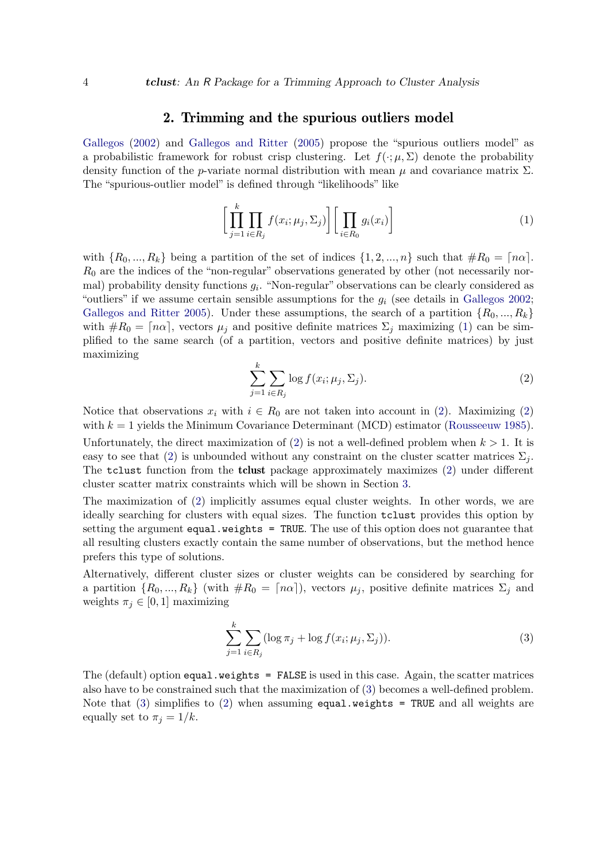#### 2. Trimming and the spurious outliers model

<span id="page-3-0"></span>[Gallegos](#page-23-5) [\(2002\)](#page-23-5) and [Gallegos and Ritter](#page-23-6) [\(2005\)](#page-23-6) propose the "spurious outliers model" as a probabilistic framework for robust crisp clustering. Let  $f(\cdot; \mu, \Sigma)$  denote the probability density function of the p-variate normal distribution with mean  $\mu$  and covariance matrix  $\Sigma$ . The "spurious-outlier model" is defined through "likelihoods" like

<span id="page-3-1"></span>
$$
\left[\prod_{j=1}^{k} \prod_{i \in R_j} f(x_i; \mu_j, \Sigma_j)\right] \left[\prod_{i \in R_0} g_i(x_i)\right]
$$
\n(1)

with  $\{R_0, ..., R_k\}$  being a partition of the set of indices  $\{1, 2, ..., n\}$  such that  $\#R_0 = \lceil n\alpha \rceil$ .  $R_0$  are the indices of the "non-regular" observations generated by other (not necessarily normal) probability density functions  $g_i$ . "Non-regular" observations can be clearly considered as "outliers" if we assume certain sensible assumptions for the  $g_i$  (see details in [Gallegos](#page-23-5) [2002;](#page-23-5) [Gallegos and Ritter](#page-23-6) [2005\)](#page-23-6). Under these assumptions, the search of a partition  $\{R_0, ..., R_k\}$ with  $\#R_0 = \lceil n\alpha \rceil$ , vectors  $\mu_j$  and positive definite matrices  $\Sigma_j$  maximizing [\(1\)](#page-3-1) can be simplified to the same search (of a partition, vectors and positive definite matrices) by just maximizing

$$
\sum_{j=1}^{k} \sum_{i \in R_j} \log f(x_i; \mu_j, \Sigma_j).
$$
 (2)

<span id="page-3-2"></span>Notice that observations  $x_i$  with  $i \in R_0$  are not taken into account in [\(2\)](#page-3-2). Maximizing (2) with  $k = 1$  yields the Minimum Covariance Determinant (MCD) estimator [\(Rousseeuw](#page-24-8) [1985\)](#page-24-8).

Unfortunately, the direct maximization of [\(2\)](#page-3-2) is not a well-defined problem when  $k > 1$ . It is easy to see that [\(2\)](#page-3-2) is unbounded without any constraint on the cluster scatter matrices  $\Sigma_i$ . The tclust function from the tclust package approximately maximizes [\(2\)](#page-3-2) under different cluster scatter matrix constraints which will be shown in Section [3.](#page-4-0)

The maximization of [\(2\)](#page-3-2) implicitly assumes equal cluster weights. In other words, we are ideally searching for clusters with equal sizes. The function tclust provides this option by setting the argument equal.weights = TRUE. The use of this option does not guarantee that all resulting clusters exactly contain the same number of observations, but the method hence prefers this type of solutions.

Alternatively, different cluster sizes or cluster weights can be considered by searching for a partition  $\{R_0, ..., R_k\}$  (with  $\#R_0 = \lceil n\alpha \rceil$ ), vectors  $\mu_j$ , positive definite matrices  $\Sigma_j$  and weights  $\pi_i \in [0, 1]$  maximizing

<span id="page-3-3"></span>
$$
\sum_{j=1}^{k} \sum_{i \in R_j} (\log \pi_j + \log f(x_i; \mu_j, \Sigma_j)).
$$
\n(3)

The (default) option equal.weights = FALSE is used in this case. Again, the scatter matrices also have to be constrained such that the maximization of [\(3\)](#page-3-3) becomes a well-defined problem. Note that [\(3\)](#page-3-3) simplifies to [\(2\)](#page-3-2) when assuming equal.weights = TRUE and all weights are equally set to  $\pi_i = 1/k$ .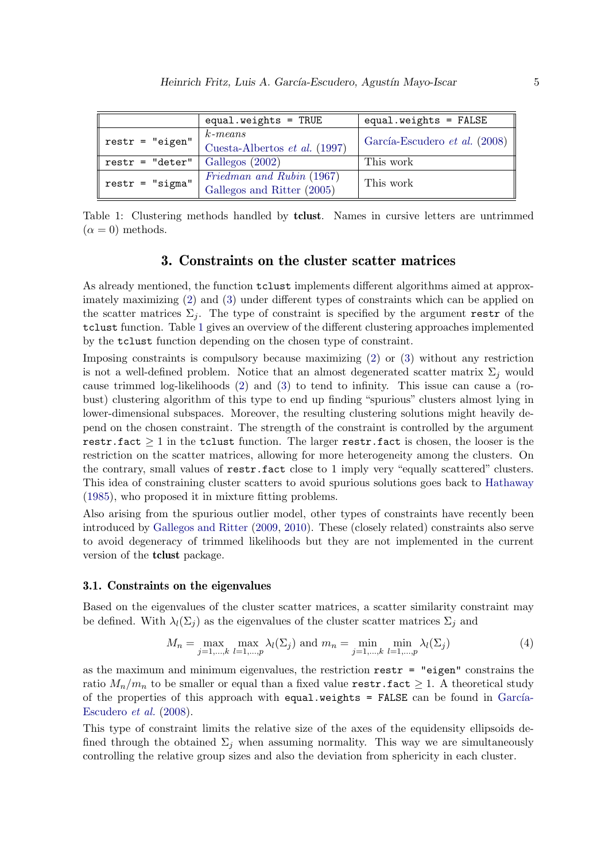|                                     | equal.weights = $TRUE$                                  | equal.weights = $FALSE$       |
|-------------------------------------|---------------------------------------------------------|-------------------------------|
| $\text{restr} = "eigen"$            | $k$ -means<br>Cuesta-Albertos et al. (1997)             | García-Escudero et al. (2008) |
| $\text{restr} = " \text{deter" }  $ | Gallegos $(2002)$                                       | This work                     |
| $\texttt{restr} = "sigma"$          | Friedman and Rubin (1967)<br>Gallegos and Ritter (2005) | This work                     |

Table 1: Clustering methods handled by tclust. Names in cursive letters are untrimmed  $(\alpha = 0)$  methods.

#### <span id="page-4-1"></span>3. Constraints on the cluster scatter matrices

<span id="page-4-0"></span>As already mentioned, the function tclust implements different algorithms aimed at approximately maximizing [\(2\)](#page-3-2) and [\(3\)](#page-3-3) under different types of constraints which can be applied on the scatter matrices  $\Sigma_i$ . The type of constraint is specified by the argument restr of the tclust function. Table [1](#page-4-1) gives an overview of the different clustering approaches implemented by the tclust function depending on the chosen type of constraint.

Imposing constraints is compulsory because maximizing [\(2\)](#page-3-2) or [\(3\)](#page-3-3) without any restriction is not a well-defined problem. Notice that an almost degenerated scatter matrix  $\Sigma_j$  would cause trimmed log-likelihoods [\(2\)](#page-3-2) and [\(3\)](#page-3-3) to tend to infinity. This issue can cause a (robust) clustering algorithm of this type to end up finding "spurious" clusters almost lying in lower-dimensional subspaces. Moreover, the resulting clustering solutions might heavily depend on the chosen constraint. The strength of the constraint is controlled by the argument restr.fact  $\geq 1$  in the tclust function. The larger restr.fact is chosen, the looser is the restriction on the scatter matrices, allowing for more heterogeneity among the clusters. On the contrary, small values of restr.fact close to 1 imply very "equally scattered" clusters. This idea of constraining cluster scatters to avoid spurious solutions goes back to [Hathaway](#page-23-9) [\(1985\)](#page-23-9), who proposed it in mixture fitting problems.

Also arising from the spurious outlier model, other types of constraints have recently been introduced by [Gallegos and Ritter](#page-23-10) [\(2009,](#page-23-10) [2010\)](#page-23-11). These (closely related) constraints also serve to avoid degeneracy of trimmed likelihoods but they are not implemented in the current version of the tclust package.

#### <span id="page-4-3"></span>3.1. Constraints on the eigenvalues

Based on the eigenvalues of the cluster scatter matrices, a scatter similarity constraint may be defined. With  $\lambda_l(\Sigma_j)$  as the eigenvalues of the cluster scatter matrices  $\Sigma_j$  and

<span id="page-4-2"></span>
$$
M_n = \max_{j=1,\dots,k} \max_{l=1,\dots,p} \lambda_l(\Sigma_j) \text{ and } m_n = \min_{j=1,\dots,k} \min_{l=1,\dots,p} \lambda_l(\Sigma_j)
$$
(4)

as the maximum and minimum eigenvalues, the restriction restr = "eigen" constrains the ratio  $M_n/m_n$  to be smaller or equal than a fixed value restr.fact  $\geq 1$ . A theoretical study of the properties of this approach with equal.weights =  $FALSE$  can be found in García-[Escudero](#page-23-7) et al. [\(2008\)](#page-23-7).

This type of constraint limits the relative size of the axes of the equidensity ellipsoids defined through the obtained  $\Sigma_i$  when assuming normality. This way we are simultaneously controlling the relative group sizes and also the deviation from sphericity in each cluster.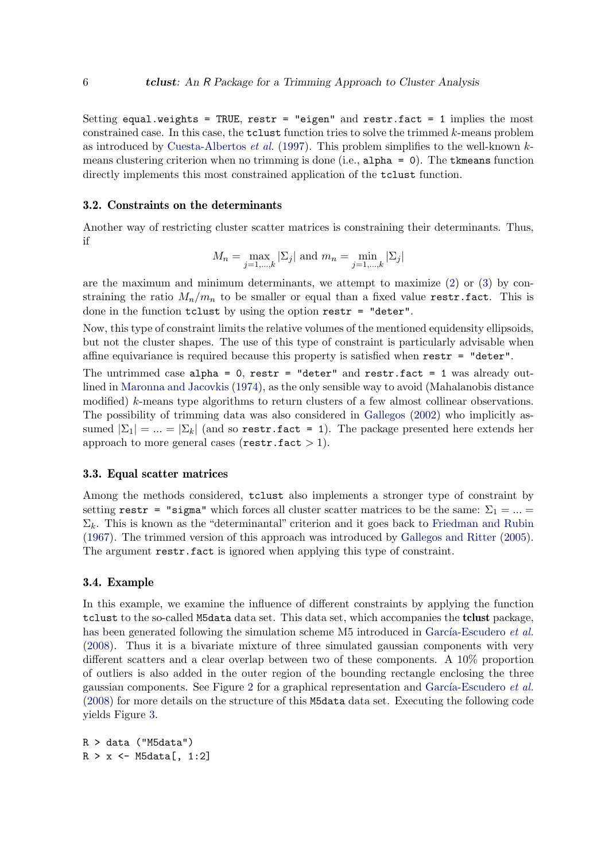Setting equal.weights = TRUE, restr = "eigen" and restr.fact = 1 implies the most constrained case. In this case, the  $tclust$  function tries to solve the trimmed  $k$ -means problem as introduced by [Cuesta-Albertos](#page-22-0) *et al.* [\(1997\)](#page-22-0). This problem simplifies to the well-known  $k$ means clustering criterion when no trimming is done (i.e., alpha = 0). The tkmeans function directly implements this most constrained application of the tclust function.

#### <span id="page-5-0"></span>3.2. Constraints on the determinants

Another way of restricting cluster scatter matrices is constraining their determinants. Thus, if

$$
M_n = \max_{j=1,\dots,k} |\Sigma_j|
$$
 and  $m_n = \min_{j=1,\dots,k} |\Sigma_j|$ 

are the maximum and minimum determinants, we attempt to maximize  $(2)$  or  $(3)$  by constraining the ratio  $M_n/m_n$  to be smaller or equal than a fixed value restr.fact. This is done in the function tclust by using the option restr = "deter".

Now, this type of constraint limits the relative volumes of the mentioned equidensity ellipsoids, but not the cluster shapes. The use of this type of constraint is particularly advisable when affine equivariance is required because this property is satisfied when  $\text{restr} = \text{``deter''}.$ 

The untrimmed case alpha =  $0$ , restr = "deter" and restr.fact = 1 was already outlined in [Maronna and Jacovkis](#page-24-9) [\(1974\)](#page-24-9), as the only sensible way to avoid (Mahalanobis distance modified) k-means type algorithms to return clusters of a few almost collinear observations. The possibility of trimming data was also considered in [Gallegos](#page-23-5) [\(2002\)](#page-23-5) who implicitly assumed  $|\Sigma_1| = ... = |\Sigma_k|$  (and so restr.fact = 1). The package presented here extends her approach to more general cases ( $\texttt{restr.fact} > 1$ ).

#### 3.3. Equal scatter matrices

Among the methods considered, tclust also implements a stronger type of constraint by setting restr = "sigma" which forces all cluster scatter matrices to be the same:  $\Sigma_1 = ... =$  $\Sigma_k$ . This is known as the "determinantal" criterion and it goes back to [Friedman and Rubin](#page-23-8) [\(1967\)](#page-23-8). The trimmed version of this approach was introduced by [Gallegos and Ritter](#page-23-6) [\(2005\)](#page-23-6). The argument restr.fact is ignored when applying this type of constraint.

#### 3.4. Example

In this example, we examine the influence of different constraints by applying the function tclust to the so-called M5data data set. This data set, which accompanies the tclust package, has been generated following the simulation scheme M5 introduced in García-Escudero et al. [\(2008\)](#page-23-7). Thus it is a bivariate mixture of three simulated gaussian components with very different scatters and a clear overlap between two of these components. A 10% proportion of outliers is also added in the outer region of the bounding rectangle enclosing the three gaussian components. See Figure [2](#page-6-0) for a graphical representation and García-Escudero *et al.* [\(2008\)](#page-23-7) for more details on the structure of this M5data data set. Executing the following code yields Figure [3.](#page-7-0)

```
R > data ("M5data")
R > x \leftarrow M5data[, 1:2]
```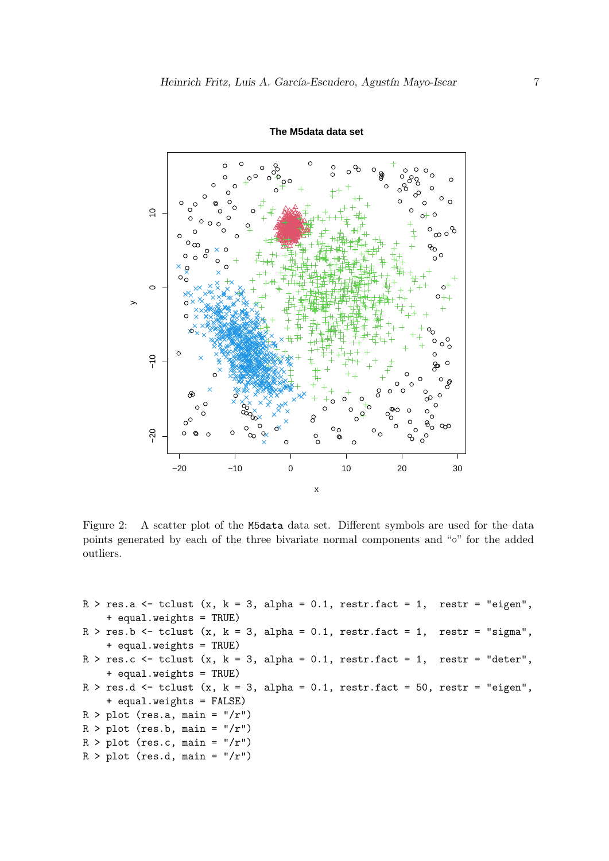

**The M5data data set**

<span id="page-6-0"></span>Figure 2: A scatter plot of the M5data data set. Different symbols are used for the data points generated by each of the three bivariate normal components and "◦" for the added outliers.

```
R > res.a \le tclust (x, k = 3, alpha = 0.1, restr.fact = 1, restr = "eigen",+ equal.weights = TRUE)
R > res.b <- tclust (x, k = 3, alpha = 0.1, restr.fact = 1, restr = "sigma",
    + equal.weights = TRUE)
R > res.c \leq tclust (x, k = 3, alpha = 0.1, restr.fact = 1, restr = "deter",
    + equal.weights = TRUE)
R > res.d \leftarrow tclust (x, k = 3, alpha = 0.1, restr.fact = 50, restr = "eigen",
    + equal.weights = FALSE)
R > plot (res.a, main = "/r")
R > plot (res.b, main = "/r")
R > plot (res.c, main = "/r")
R > plot (res.d, main = "/r")
```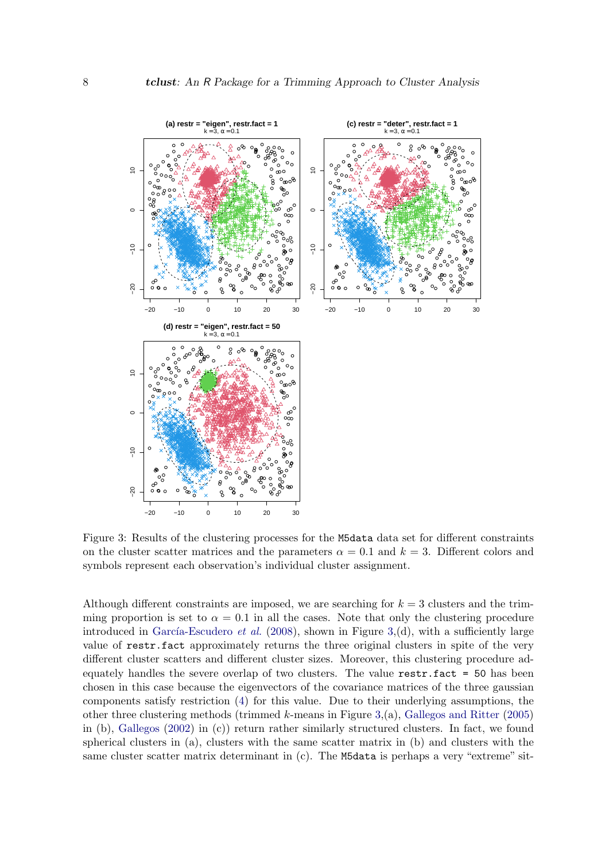

<span id="page-7-0"></span>Figure 3: Results of the clustering processes for the M5data data set for different constraints on the cluster scatter matrices and the parameters  $\alpha = 0.1$  and  $k = 3$ . Different colors and symbols represent each observation's individual cluster assignment.

Although different constraints are imposed, we are searching for  $k = 3$  clusters and the trimming proportion is set to  $\alpha = 0.1$  in all the cases. Note that only the clustering procedure introduced in García-Escudero et al.  $(2008)$ , shown in Figure [3,](#page-7-0)(d), with a sufficiently large value of restr.fact approximately returns the three original clusters in spite of the very different cluster scatters and different cluster sizes. Moreover, this clustering procedure adequately handles the severe overlap of two clusters. The value restr.fact = 50 has been chosen in this case because the eigenvectors of the covariance matrices of the three gaussian components satisfy restriction [\(4\)](#page-4-2) for this value. Due to their underlying assumptions, the other three clustering methods (trimmed  $k$ -means in Figure [3,](#page-7-0)(a), [Gallegos and Ritter](#page-23-6) [\(2005\)](#page-23-6) in (b), [Gallegos](#page-23-5) [\(2002\)](#page-23-5) in (c)) return rather similarly structured clusters. In fact, we found spherical clusters in (a), clusters with the same scatter matrix in (b) and clusters with the same cluster scatter matrix determinant in (c). The M5data is perhaps a very "extreme" sit-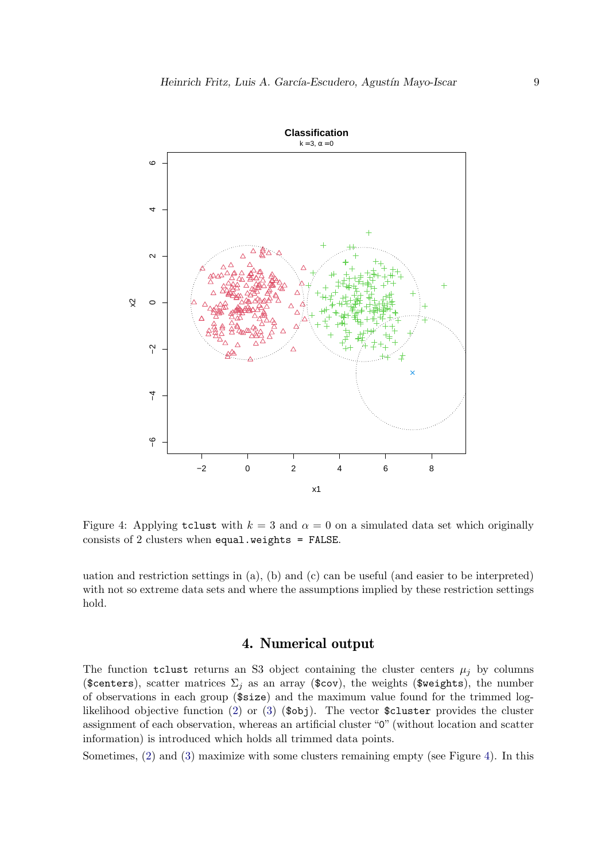

Figure 4: Applying tclust with  $k = 3$  and  $\alpha = 0$  on a simulated data set which originally consists of 2 clusters when equal.weights = FALSE.

uation and restriction settings in (a), (b) and (c) can be useful (and easier to be interpreted) with not so extreme data sets and where the assumptions implied by these restriction settings hold.

### <span id="page-8-1"></span>4. Numerical output

<span id="page-8-0"></span>The function tclust returns an S3 object containing the cluster centers  $\mu_i$  by columns (\$centers), scatter matrices  $\Sigma_j$  as an array (\$cov), the weights (\$weights), the number of observations in each group (\$size) and the maximum value found for the trimmed log-likelihood objective function [\(2\)](#page-3-2) or [\(3\)](#page-3-3)  $(\$obi)$ . The vector  $\$cluster$  provides the cluster assignment of each observation, whereas an artificial cluster "0" (without location and scatter information) is introduced which holds all trimmed data points.

Sometimes,  $(2)$  and  $(3)$  maximize with some clusters remaining empty (see Figure [4\)](#page-8-1). In this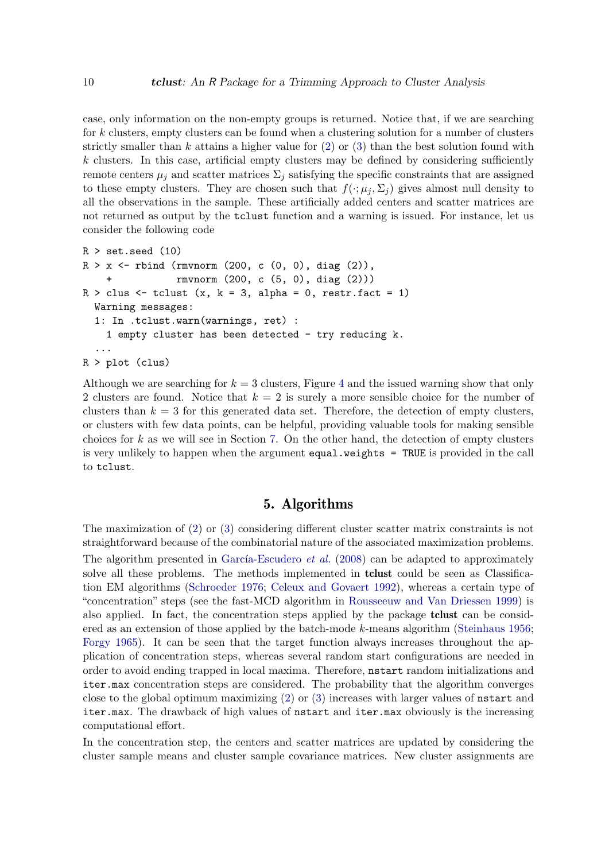case, only information on the non-empty groups is returned. Notice that, if we are searching for k clusters, empty clusters can be found when a clustering solution for a number of clusters strictly smaller than k attains a higher value for  $(2)$  or  $(3)$  than the best solution found with  $k$  clusters. In this case, artificial empty clusters may be defined by considering sufficiently remote centers  $\mu_i$  and scatter matrices  $\Sigma_i$  satisfying the specific constraints that are assigned to these empty clusters. They are chosen such that  $f(\cdot;\mu_i,\Sigma_i)$  gives almost null density to all the observations in the sample. These artificially added centers and scatter matrices are not returned as output by the tclust function and a warning is issued. For instance, let us consider the following code

```
R > set. seed (10)R > x <- rbind (rmvnorm (200, c (0, 0), diag (2)),
    + rmvnorm (200, c (5, 0), diag (2)))
R > clus <- tclust (x, k = 3, alpha = 0, restr.fact = 1)
  Warning messages:
  1: In .tclust.warn(warnings, ret) :
    1 empty cluster has been detected - try reducing k.
  ...
R > plot (clus)
```
Although we are searching for  $k = 3$  clusters, Figure [4](#page-8-1) and the issued warning show that only 2 clusters are found. Notice that  $k = 2$  is surely a more sensible choice for the number of clusters than  $k = 3$  for this generated data set. Therefore, the detection of empty clusters, or clusters with few data points, can be helpful, providing valuable tools for making sensible choices for  $k$  as we will see in Section [7.](#page-13-0) On the other hand, the detection of empty clusters is very unlikely to happen when the argument equal.weights = TRUE is provided in the call to tclust.

### 5. Algorithms

<span id="page-9-0"></span>The maximization of [\(2\)](#page-3-2) or [\(3\)](#page-3-3) considering different cluster scatter matrix constraints is not straightforward because of the combinatorial nature of the associated maximization problems. The algorithm presented in García-Escudero *et al.* [\(2008\)](#page-23-7) can be adapted to approximately solve all these problems. The methods implemented in **tclust** could be seen as Classification EM algorithms [\(Schroeder](#page-24-10) [1976;](#page-24-10) [Celeux and Govaert](#page-22-4) [1992\)](#page-22-4), whereas a certain type of "concentration" steps (see the fast-MCD algorithm in [Rousseeuw and Van Driessen](#page-24-11) [1999\)](#page-24-11) is also applied. In fact, the concentration steps applied by the package tclust can be considered as an extension of those applied by the batch-mode k-means algorithm [\(Steinhaus](#page-24-12) [1956;](#page-24-12) [Forgy](#page-22-5) [1965\)](#page-22-5). It can be seen that the target function always increases throughout the application of concentration steps, whereas several random start configurations are needed in order to avoid ending trapped in local maxima. Therefore, nstart random initializations and iter.max concentration steps are considered. The probability that the algorithm converges close to the global optimum maximizing [\(2\)](#page-3-2) or [\(3\)](#page-3-3) increases with larger values of nstart and iter.max. The drawback of high values of nstart and iter.max obviously is the increasing computational effort.

In the concentration step, the centers and scatter matrices are updated by considering the cluster sample means and cluster sample covariance matrices. New cluster assignments are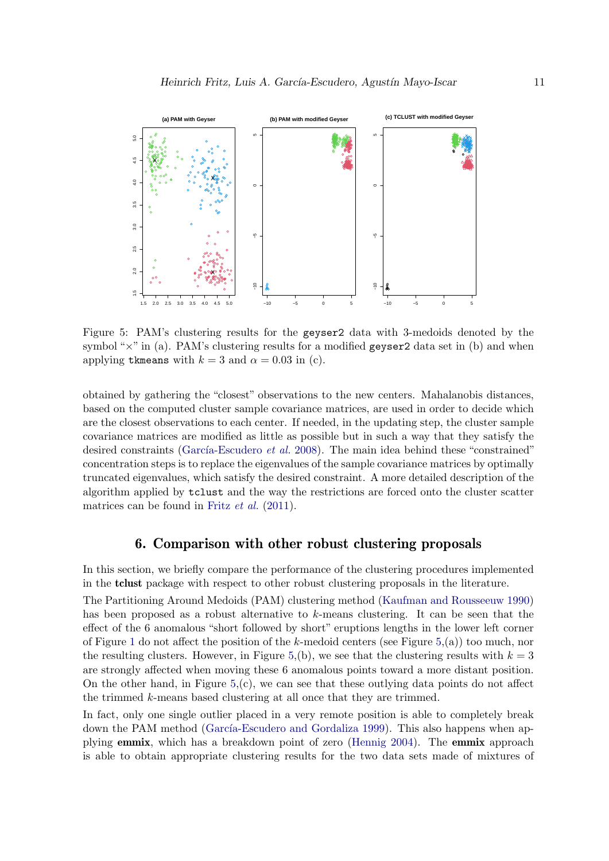

<span id="page-10-1"></span>Figure 5: PAM's clustering results for the geyser2 data with 3-medoids denoted by the symbol " $\times$ " in (a). PAM's clustering results for a modified geyser2 data set in (b) and when applying tkmeans with  $k = 3$  and  $\alpha = 0.03$  in (c).

obtained by gathering the "closest" observations to the new centers. Mahalanobis distances, based on the computed cluster sample covariance matrices, are used in order to decide which are the closest observations to each center. If needed, in the updating step, the cluster sample covariance matrices are modified as little as possible but in such a way that they satisfy the desired constraints (García-Escudero *et al.* [2008\)](#page-23-7). The main idea behind these "constrained" concentration steps is to replace the eigenvalues of the sample covariance matrices by optimally truncated eigenvalues, which satisfy the desired constraint. A more detailed description of the algorithm applied by tclust and the way the restrictions are forced onto the cluster scatter matrices can be found in Fritz *[et al.](#page-23-12)* [\(2011\)](#page-23-12).

### 6. Comparison with other robust clustering proposals

<span id="page-10-0"></span>In this section, we briefly compare the performance of the clustering procedures implemented in the tclust package with respect to other robust clustering proposals in the literature.

The Partitioning Around Medoids (PAM) clustering method [\(Kaufman and Rousseeuw](#page-24-13) [1990\)](#page-24-13) has been proposed as a robust alternative to k-means clustering. It can be seen that the effect of the 6 anomalous "short followed by short" eruptions lengths in the lower left corner of Figure [1](#page-2-0) do not affect the position of the k-medoid centers (see Figure  $5(a)$ ) too much, nor the resulting clusters. However, in Figure [5,](#page-10-1)(b), we see that the clustering results with  $k = 3$ are strongly affected when moving these 6 anomalous points toward a more distant position. On the other hand, in Figure  $5(z)$ , we can see that these outlying data points do not affect the trimmed k-means based clustering at all once that they are trimmed.

In fact, only one single outlier placed in a very remote position is able to completely break down the PAM method (García-Escudero and Gordaliza [1999\)](#page-23-1). This also happens when applying emmix, which has a breakdown point of zero [\(Hennig](#page-23-13) [2004\)](#page-23-13). The emmix approach is able to obtain appropriate clustering results for the two data sets made of mixtures of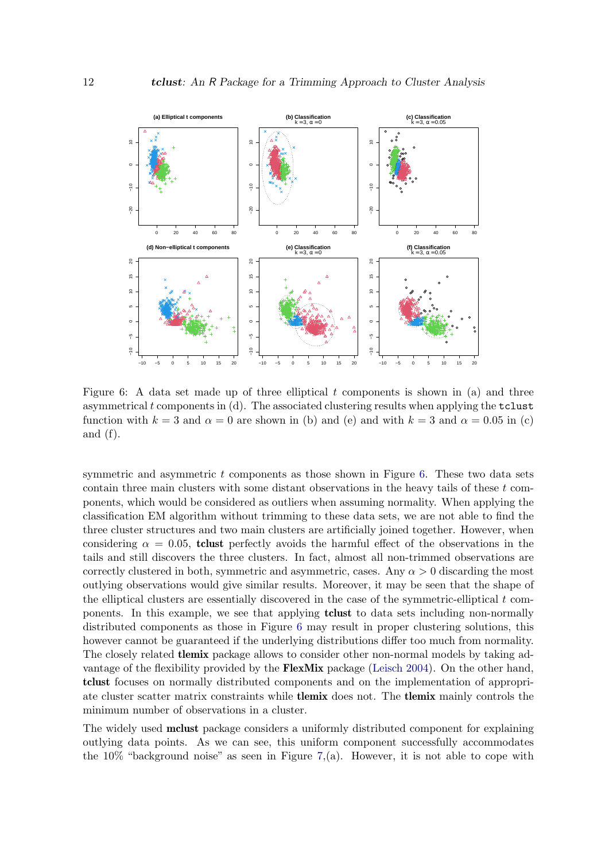

<span id="page-11-0"></span>Figure 6: A data set made up of three elliptical t components is shown in (a) and three asymmetrical  $t$  components in  $(d)$ . The associated clustering results when applying the  $t$ clust function with  $k = 3$  and  $\alpha = 0$  are shown in (b) and (e) and with  $k = 3$  and  $\alpha = 0.05$  in (c) and (f).

symmetric and asymmetric  $t$  components as those shown in Figure [6.](#page-11-0) These two data sets contain three main clusters with some distant observations in the heavy tails of these  $t$  components, which would be considered as outliers when assuming normality. When applying the classification EM algorithm without trimming to these data sets, we are not able to find the three cluster structures and two main clusters are artificially joined together. However, when considering  $\alpha = 0.05$ , tclust perfectly avoids the harmful effect of the observations in the tails and still discovers the three clusters. In fact, almost all non-trimmed observations are correctly clustered in both, symmetric and asymmetric, cases. Any  $\alpha > 0$  discarding the most outlying observations would give similar results. Moreover, it may be seen that the shape of the elliptical clusters are essentially discovered in the case of the symmetric-elliptical  $t$  components. In this example, we see that applying tclust to data sets including non-normally distributed components as those in Figure [6](#page-11-0) may result in proper clustering solutions, this however cannot be guaranteed if the underlying distributions differ too much from normality. The closely related tlemix package allows to consider other non-normal models by taking advantage of the flexibility provided by the **FlexMix** package [\(Leisch](#page-24-14) [2004\)](#page-24-14). On the other hand, tclust focuses on normally distributed components and on the implementation of appropriate cluster scatter matrix constraints while tlemix does not. The tlemix mainly controls the minimum number of observations in a cluster.

The widely used **mclust** package considers a uniformly distributed component for explaining outlying data points. As we can see, this uniform component successfully accommodates the  $10\%$  "background noise" as seen in Figure [7,](#page-12-0)(a). However, it is not able to cope with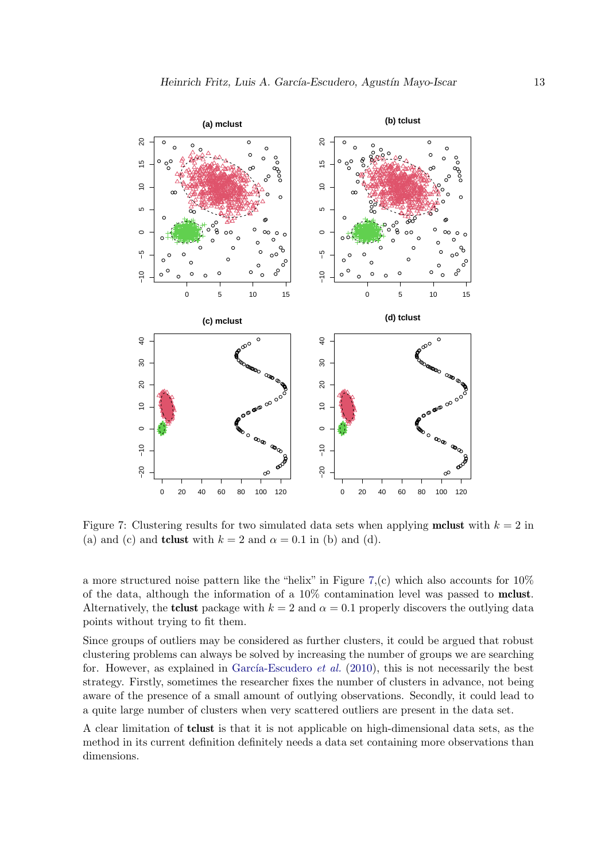

<span id="page-12-0"></span>Figure 7: Clustering results for two simulated data sets when applying **mclust** with  $k = 2$  in (a) and (c) and **tclust** with  $k = 2$  and  $\alpha = 0.1$  in (b) and (d).

a more structured noise pattern like the "helix" in Figure [7,](#page-12-0)(c) which also accounts for  $10\%$ of the data, although the information of a 10% contamination level was passed to mclust. Alternatively, the **tclust** package with  $k = 2$  and  $\alpha = 0.1$  properly discovers the outlying data points without trying to fit them.

Since groups of outliers may be considered as further clusters, it could be argued that robust clustering problems can always be solved by increasing the number of groups we are searching for. However, as explained in García-Escudero *et al.* [\(2010\)](#page-23-2), this is not necessarily the best strategy. Firstly, sometimes the researcher fixes the number of clusters in advance, not being aware of the presence of a small amount of outlying observations. Secondly, it could lead to a quite large number of clusters when very scattered outliers are present in the data set.

A clear limitation of tclust is that it is not applicable on high-dimensional data sets, as the method in its current definition definitely needs a data set containing more observations than dimensions.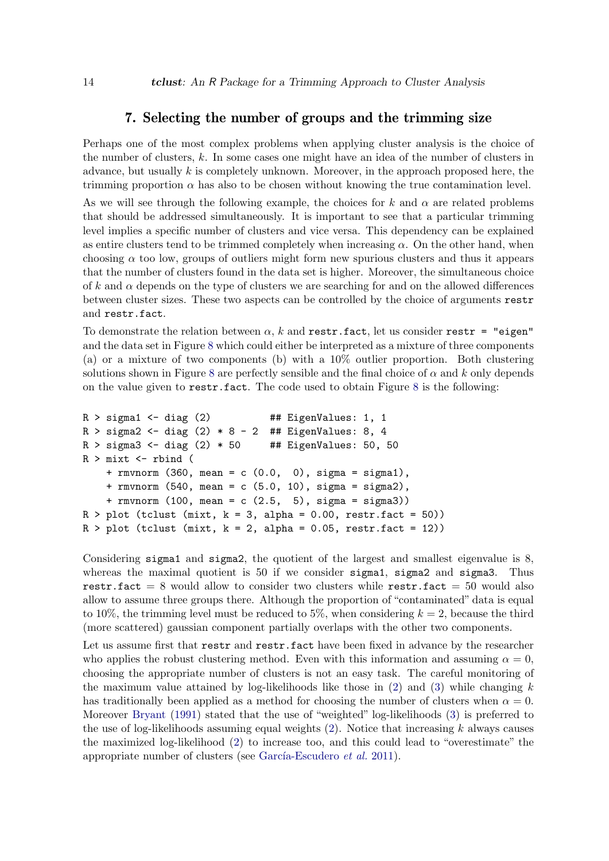### 7. Selecting the number of groups and the trimming size

<span id="page-13-0"></span>Perhaps one of the most complex problems when applying cluster analysis is the choice of the number of clusters,  $k$ . In some cases one might have an idea of the number of clusters in advance, but usually  $k$  is completely unknown. Moreover, in the approach proposed here, the trimming proportion  $\alpha$  has also to be chosen without knowing the true contamination level.

As we will see through the following example, the choices for k and  $\alpha$  are related problems that should be addressed simultaneously. It is important to see that a particular trimming level implies a specific number of clusters and vice versa. This dependency can be explained as entire clusters tend to be trimmed completely when increasing  $\alpha$ . On the other hand, when choosing  $\alpha$  too low, groups of outliers might form new spurious clusters and thus it appears that the number of clusters found in the data set is higher. Moreover, the simultaneous choice of k and  $\alpha$  depends on the type of clusters we are searching for and on the allowed differences between cluster sizes. These two aspects can be controlled by the choice of arguments restr and restr.fact.

To demonstrate the relation between  $\alpha$ , k and restr.fact, let us consider restr = "eigen" and the data set in Figure [8](#page-14-0) which could either be interpreted as a mixture of three components (a) or a mixture of two components (b) with a 10% outlier proportion. Both clustering solutions shown in Figure [8](#page-14-0) are perfectly sensible and the final choice of  $\alpha$  and k only depends on the value given to restr.fact. The code used to obtain Figure [8](#page-14-0) is the following:

```
R > sigma1 <- diag (2) # # EigenValues: 1, 1
R > sigma2 <- diag (2) * 8 - 2 ## EigenValues: 8, 4
R > sigma3 <- diag (2) * 50 ## EigenValues: 50, 50
R > mixt \leq rbind (
    + rmvnorm (360, mean = c (0.0, 0), sigma = sigma1),
    + rmvnorm (540, mean = c (5.0, 10), sigma = sigma2),
    + rmvnorm (100, mean = c (2.5, 5), sigma = sigma3))
R > plot (tclust (mixt, k = 3, alpha = 0.00, restr.fact = 50))
R > plot (tclust (mixt, k = 2, alpha = 0.05, restr.fact = 12))
```
Considering sigma1 and sigma2, the quotient of the largest and smallest eigenvalue is 8, whereas the maximal quotient is 50 if we consider sigma1, sigma2 and sigma3. Thus restr.fact  $= 8$  would allow to consider two clusters while restr.fact  $= 50$  would also allow to assume three groups there. Although the proportion of "contaminated" data is equal to 10%, the trimming level must be reduced to 5%, when considering  $k = 2$ , because the third (more scattered) gaussian component partially overlaps with the other two components.

Let us assume first that restr and restr.fact have been fixed in advance by the researcher who applies the robust clustering method. Even with this information and assuming  $\alpha = 0$ , choosing the appropriate number of clusters is not an easy task. The careful monitoring of the maximum value attained by log-likelihoods like those in  $(2)$  and  $(3)$  while changing k has traditionally been applied as a method for choosing the number of clusters when  $\alpha = 0$ . Moreover [Bryant](#page-22-6) [\(1991\)](#page-22-6) stated that the use of "weighted" log-likelihoods [\(3\)](#page-3-3) is preferred to the use of log-likelihoods assuming equal weights  $(2)$ . Notice that increasing k always causes the maximized log-likelihood [\(2\)](#page-3-2) to increase too, and this could lead to "overestimate" the appropriate number of clusters (see García-Escudero  $et$   $al.$  [2011\)](#page-23-14).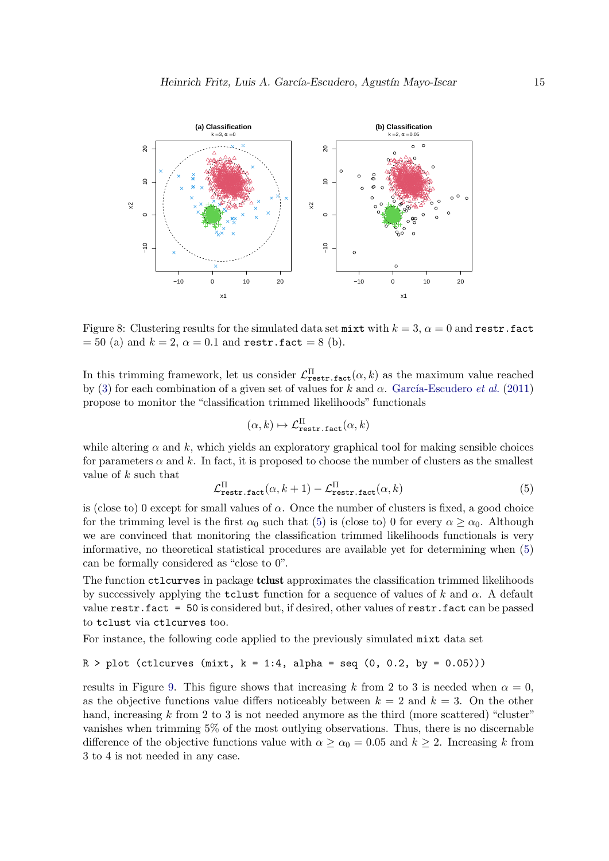

Figure 8: Clustering results for the simulated data set mixt with  $k = 3$ ,  $\alpha = 0$  and restr.fact  $= 50$  (a) and  $k = 2$ ,  $\alpha = 0.1$  and restr.fact  $= 8$  (b).

In this trimming framework, let us consider  $\mathcal{L}^{\Pi}_{\text{restr.fact}}(\alpha, k)$  as the maximum value reached by [\(3\)](#page-3-3) for each combination of a given set of values for k and  $\alpha$ . García-Escudero et al. [\(2011\)](#page-23-14) propose to monitor the "classification trimmed likelihoods" functionals

<span id="page-14-0"></span>
$$
(\alpha,k)\mapsto\mathcal{L}^{\Pi}_{\texttt{restr.fact}}(\alpha,k)
$$

while altering  $\alpha$  and k, which yields an exploratory graphical tool for making sensible choices for parameters  $\alpha$  and k. In fact, it is proposed to choose the number of clusters as the smallest value of  $k$  such that

<span id="page-14-1"></span>
$$
\mathcal{L}_{\text{restr.fact}}^{\Pi}(\alpha, k+1) - \mathcal{L}_{\text{restr.fact}}^{\Pi}(\alpha, k)
$$
\n(5)

is (close to) 0 except for small values of  $\alpha$ . Once the number of clusters is fixed, a good choice for the trimming level is the first  $\alpha_0$  such that [\(5\)](#page-14-1) is (close to) 0 for every  $\alpha > \alpha_0$ . Although we are convinced that monitoring the classification trimmed likelihoods functionals is very informative, no theoretical statistical procedures are available yet for determining when [\(5\)](#page-14-1) can be formally considered as "close to 0".

The function ctlcurves in package tclust approximates the classification trimmed likelihoods by successively applying the **tclust** function for a sequence of values of k and  $\alpha$ . A default value restr.fact = 50 is considered but, if desired, other values of restr.fact can be passed to tclust via ctlcurves too.

For instance, the following code applied to the previously simulated mixt data set

#### $R > plot (ctlcurves (mixt, k = 1:4, alpha = seq (0, 0.2, by = 0.05)))$

results in Figure [9.](#page-15-0) This figure shows that increasing k from 2 to 3 is needed when  $\alpha = 0$ , as the objective functions value differs noticeably between  $k = 2$  and  $k = 3$ . On the other hand, increasing k from 2 to 3 is not needed anymore as the third (more scattered) "cluster" vanishes when trimming 5% of the most outlying observations. Thus, there is no discernable difference of the objective functions value with  $\alpha \ge \alpha_0 = 0.05$  and  $k \ge 2$ . Increasing k from 3 to 4 is not needed in any case.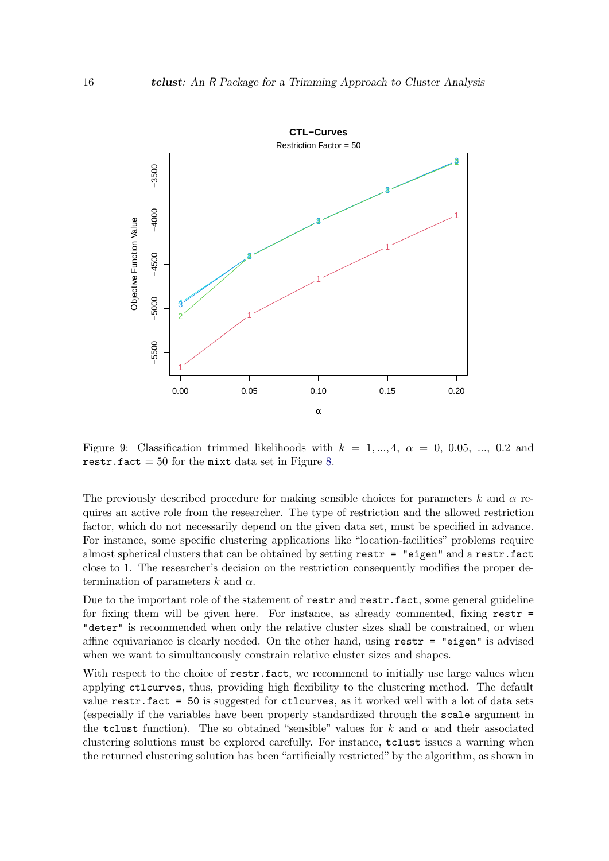

<span id="page-15-0"></span>Figure 9: Classification trimmed likelihoods with  $k = 1, ..., 4, \alpha = 0, 0.05, ..., 0.2$  and restr.fact  $= 50$  for the mixt data set in Figure [8.](#page-14-0)

The previously described procedure for making sensible choices for parameters k and  $\alpha$  requires an active role from the researcher. The type of restriction and the allowed restriction factor, which do not necessarily depend on the given data set, must be specified in advance. For instance, some specific clustering applications like "location-facilities" problems require almost spherical clusters that can be obtained by setting  $\texttt{restr} = "eigen"$  and a  $\texttt{restr}$ . fact close to 1. The researcher's decision on the restriction consequently modifies the proper determination of parameters k and  $\alpha$ .

Due to the important role of the statement of restr and restr.fact, some general guideline for fixing them will be given here. For instance, as already commented, fixing  $\texttt{restr}$  = "deter" is recommended when only the relative cluster sizes shall be constrained, or when affine equivariance is clearly needed. On the other hand, using  $\text{restr} = \text{"eigen"}$  is advised when we want to simultaneously constrain relative cluster sizes and shapes.

With respect to the choice of restr.fact, we recommend to initially use large values when applying ctlcurves, thus, providing high flexibility to the clustering method. The default value restr.fact = 50 is suggested for ctlcurves, as it worked well with a lot of data sets (especially if the variables have been properly standardized through the scale argument in the tclust function). The so obtained "sensible" values for k and  $\alpha$  and their associated clustering solutions must be explored carefully. For instance, tclust issues a warning when the returned clustering solution has been "artificially restricted" by the algorithm, as shown in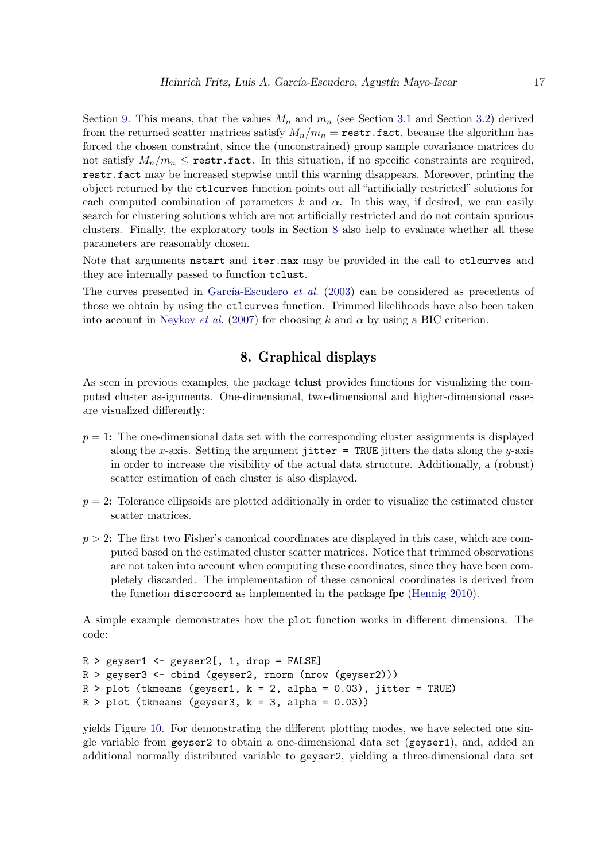Section [9.](#page-19-0) This means, that the values  $M_n$  and  $m_n$  (see Section [3.1](#page-4-3) and Section [3.2\)](#page-5-0) derived from the returned scatter matrices satisfy  $M_n/m_n = \text{restr.fact}$ , because the algorithm has forced the chosen constraint, since the (unconstrained) group sample covariance matrices do not satisfy  $M_n/m_n \leq$  restr. fact. In this situation, if no specific constraints are required, restr.fact may be increased stepwise until this warning disappears. Moreover, printing the object returned by the ctlcurves function points out all "artificially restricted" solutions for each computed combination of parameters k and  $\alpha$ . In this way, if desired, we can easily search for clustering solutions which are not artificially restricted and do not contain spurious clusters. Finally, the exploratory tools in Section [8](#page-16-0) also help to evaluate whether all these parameters are reasonably chosen.

Note that arguments netart and iter.max may be provided in the call to ctlcurves and they are internally passed to function tclust.

The curves presented in García-Escudero *et al.* [\(2003\)](#page-23-4) can be considered as precedents of those we obtain by using the ctlcurves function. Trimmed likelihoods have also been taken into account in [Neykov](#page-24-7) et al. [\(2007\)](#page-24-7) for choosing k and  $\alpha$  by using a BIC criterion.

## 8. Graphical displays

<span id="page-16-0"></span>As seen in previous examples, the package **tclust** provides functions for visualizing the computed cluster assignments. One-dimensional, two-dimensional and higher-dimensional cases are visualized differently:

- $p = 1$ : The one-dimensional data set with the corresponding cluster assignments is displayed along the x-axis. Setting the argument jitter = TRUE jitters the data along the y-axis in order to increase the visibility of the actual data structure. Additionally, a (robust) scatter estimation of each cluster is also displayed.
- $p = 2$ : Tolerance ellipsoids are plotted additionally in order to visualize the estimated cluster scatter matrices.
- $p > 2$ : The first two Fisher's canonical coordinates are displayed in this case, which are computed based on the estimated cluster scatter matrices. Notice that trimmed observations are not taken into account when computing these coordinates, since they have been completely discarded. The implementation of these canonical coordinates is derived from the function discrcoord as implemented in the package fpc [\(Hennig](#page-23-15) [2010\)](#page-23-15).

A simple example demonstrates how the plot function works in different dimensions. The code:

```
R > geyser1 <- geyser2[, 1, drop = FALSE]
R > geyser3 <- cbind (geyser2, rnorm (nrow (geyser2)))
R > plot (tkmeans (geyser1, k = 2, alpha = 0.03), jitter = TRUE)
R > plot (tkmeans (geyser3, k = 3, alpha = 0.03))
```
yields Figure [10.](#page-17-0) For demonstrating the different plotting modes, we have selected one single variable from geyser2 to obtain a one-dimensional data set (geyser1), and, added an additional normally distributed variable to geyser2, yielding a three-dimensional data set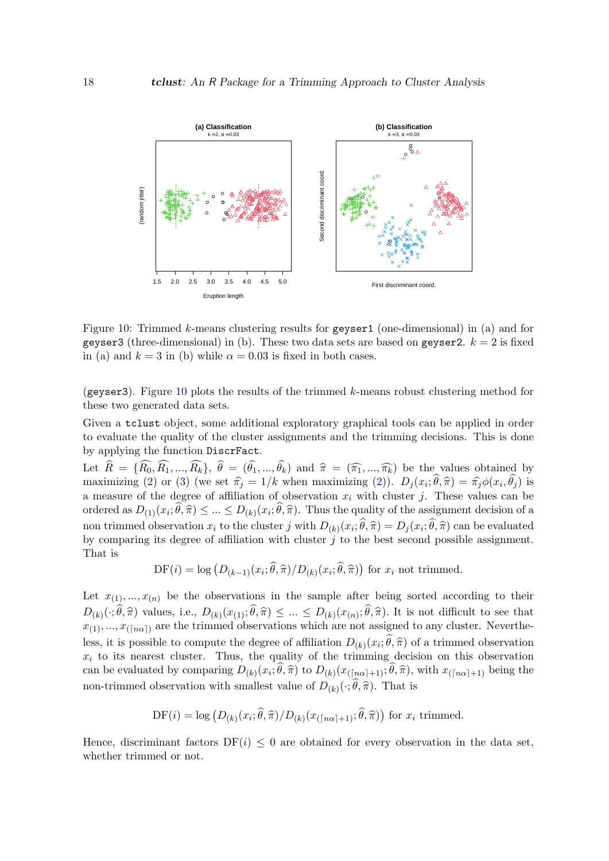

<span id="page-17-0"></span>Figure 10: Trimmed k-means clustering results for geyser1 (one-dimensional) in (a) and for geyser3 (three-dimensional) in (b). These two data sets are based on geyser2.  $k = 2$  is fixed in (a) and  $k = 3$  in (b) while  $\alpha = 0.03$  is fixed in both cases.

(geyser3). Figure [10](#page-17-0) plots the results of the trimmed  $k$ -means robust clustering method for these two generated data sets.

Given a tclust object, some additional exploratory graphical tools can be applied in order to evaluate the quality of the cluster assignments and the trimming decisions. This is done by applying the function DiscrFact.

Let  $R = \{R_0, R_1, ..., R_k\}, \theta = (\theta_1, ..., \theta_k)$  and  $\hat{\pi} = (\widehat{\pi_1}, ..., \widehat{\pi_k})$  be the values obtained by<br>maximizing (2) or (2) (we set  $\hat{\pi} = 1/k$  when maximizing (2))  $R(\pi, \widehat{\theta}, \widehat{\pi}) = \widehat{\pi} \phi(\pi, \widehat{\theta})$  is maximizing [\(2\)](#page-3-2) or [\(3\)](#page-3-3) (we set  $\hat{\pi}_j = 1/k$  when maximizing (2)).  $D_j(x_i; \theta, \hat{\pi}) = \hat{\pi}_j \phi(x_i, \theta_j)$  is<br>a monetic of the degree of efficiency of electronical with electron in These values can be a measure of the degree of affiliation of observation  $x_i$  with cluster j. These values can be ordered as  $D_{(1)}(x_i; \theta, \hat{\pi}) \leq ... \leq D_{(k)}(x_i; \theta, \hat{\pi})$ . Thus the quality of the assignment decision of a non trimmed observation  $x_i$  to the cluster j with  $D_{(k)}(x_i; \theta, \hat{\pi}) = D_j(x_i; \theta, \hat{\pi})$  can be evaluated<br>by comparing its degree of efficition with eluctor is to the best second possible essignment. by comparing its degree of affiliation with cluster  $j$  to the best second possible assignment. That is

$$
\mathrm{DF}(i) = \log \left( D_{(k-1)}(x_i; \hat{\theta}, \hat{\pi}) / D_{(k)}(x_i; \hat{\theta}, \hat{\pi}) \right) \text{ for } x_i \text{ not trimmed.}
$$

Let  $x_{(1)},...,x_{(n)}$  be the observations in the sample after being sorted according to their  $D_{(k)}(\cdot;\theta,\hat{\pi})$  values, i.e.,  $D_{(k)}(x_{(1)};\theta,\hat{\pi}) \leq ... \leq D_{(k)}(x_{(n)};\theta,\hat{\pi})$ . It is not difficult to see that  $x_{(1)},...,x_{(\lceil n\alpha \rceil)}$  are the trimmed observations which are not assigned to any cluster. Nevertheless, it is possible to compute the degree of affiliation  $D_{(k)}(x_i;\theta,\hat{\pi})$  of a trimmed observation  $x_i$  to its nearest cluster. Thus, the quality of the trimming decision on this observation can be evaluated by comparing  $D_{(k)}(x_i; \theta, \hat{\pi})$  to  $D_{(k)}(x_{(\lceil n\alpha \rceil+1)}; \theta, \hat{\pi})$ , with  $x_{(\lceil n\alpha \rceil+1)}$  being the non-trimmed observation with smallest value of  $D_{(k)}(\cdot;\theta,\hat{\pi})$ . That is

DF(i) = log 
$$
(D_{(k)}(x_i; \hat{\theta}, \hat{\pi})/D_{(k)}(x_{(\lceil n\alpha \rceil+1)}; \hat{\theta}, \hat{\pi}))
$$
 for  $x_i$  trimmed.

Hence, discriminant factors  $DF(i) \leq 0$  are obtained for every observation in the data set, whether trimmed or not.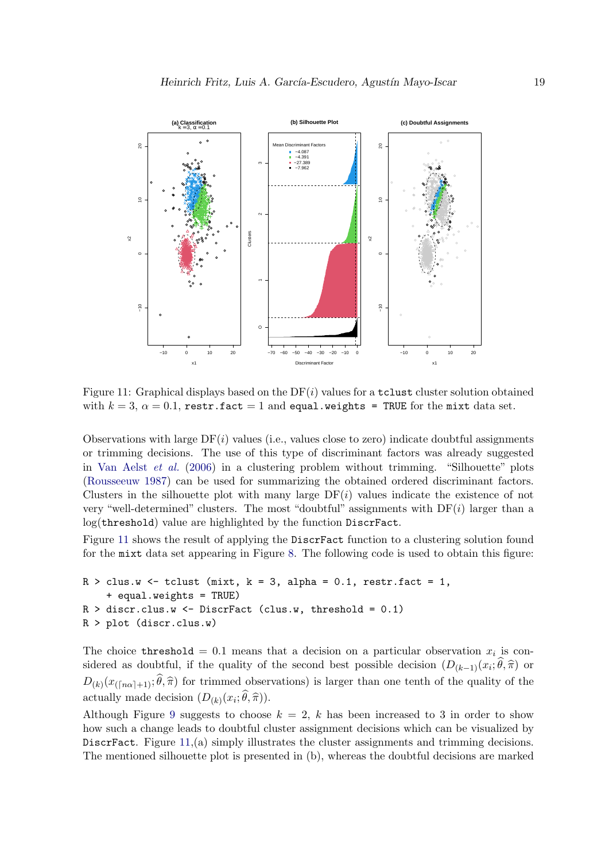

<span id="page-18-0"></span>Figure 11: Graphical displays based on the  $DF(i)$  values for a tclust cluster solution obtained with  $k = 3$ ,  $\alpha = 0.1$ , restr.fact = 1 and equal.weights = TRUE for the mixt data set.

Observations with large  $DF(i)$  values (i.e., values close to zero) indicate doubtful assignments or trimming decisions. The use of this type of discriminant factors was already suggested in [Van Aelst](#page-24-15) *et al.* [\(2006\)](#page-24-15) in a clustering problem without trimming. "Silhouette" plots [\(Rousseeuw](#page-24-16) [1987\)](#page-24-16) can be used for summarizing the obtained ordered discriminant factors. Clusters in the silhouette plot with many large  $DF(i)$  values indicate the existence of not very "well-determined" clusters. The most "doubtful" assignments with  $DF(i)$  larger than a log(threshold) value are highlighted by the function DiscrFact.

Figure [11](#page-18-0) shows the result of applying the DiscrFact function to a clustering solution found for the mixt data set appearing in Figure [8.](#page-14-0) The following code is used to obtain this figure:

```
R > clus.w \leftarrow tclust (mixt, k = 3, alpha = 0.1, restr.fact = 1,
    + equal.weights = TRUE)
R > discr.clus.w <- DiscrFact (clus.w, threshold = 0.1)
R > plot (discr.clus.w)
```
The choice threshold = 0.1 means that a decision on a particular observation  $x_i$  is considered as doubtful, if the quality of the second best possible decision  $(D_{(k-1)}(x_i; \theta, \hat{\pi})$  or  $D_{(k)}(x_{(\lceil n\alpha \rceil+1)}; \theta, \hat{\pi})$  for trimmed observations) is larger than one tenth of the quality of the actually made decision  $(D_{(k)}(x_i; \theta, \hat{\pi}))$ .

Although Figure [9](#page-15-0) suggests to choose  $k = 2, k$  has been increased to 3 in order to show how such a change leads to doubtful cluster assignment decisions which can be visualized by DiscrFact. Figure [11,](#page-18-0)(a) simply illustrates the cluster assignments and trimming decisions. The mentioned silhouette plot is presented in (b), whereas the doubtful decisions are marked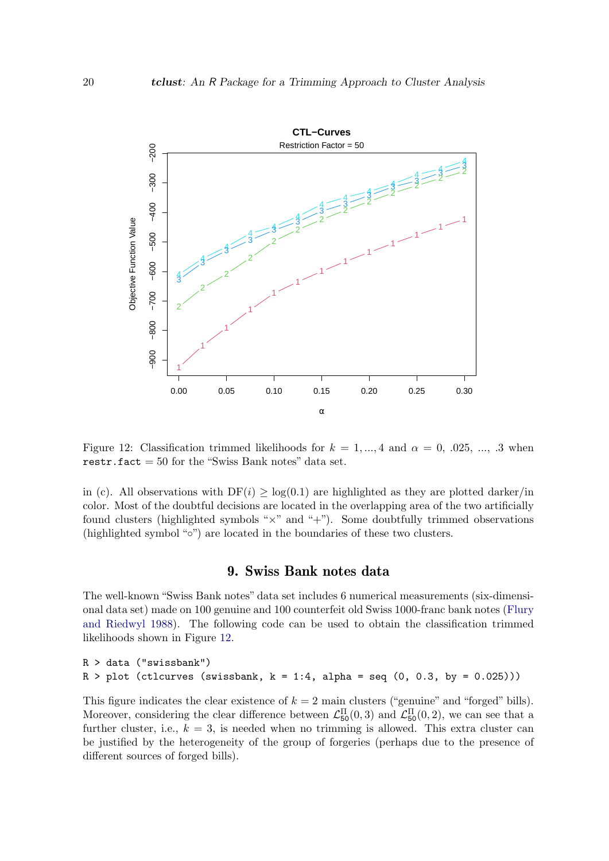

Figure 12: Classification trimmed likelihoods for  $k = 1, ..., 4$  and  $\alpha = 0, .025, ..., .3$  when restr.fact  $= 50$  for the "Swiss Bank notes" data set.

in (c). All observations with  $DF(i) > log(0.1)$  are highlighted as they are plotted darker/in color. Most of the doubtful decisions are located in the overlapping area of the two artificially found clusters (highlighted symbols " $\times$ " and "+"). Some doubtfully trimmed observations (highlighted symbol "◦") are located in the boundaries of these two clusters.

#### <span id="page-19-1"></span>9. Swiss Bank notes data

<span id="page-19-0"></span>The well-known "Swiss Bank notes" data set includes 6 numerical measurements (six-dimensional data set) made on 100 genuine and 100 counterfeit old Swiss 1000-franc bank notes [\(Flury](#page-22-7) [and Riedwyl](#page-22-7) [1988\)](#page-22-7). The following code can be used to obtain the classification trimmed likelihoods shown in Figure [12.](#page-19-1)

```
R > data ("swissbank")
R > plot (ctlcurves (swissbank, k = 1:4, alpha = seq (0, 0.3, by = 0.025)))
```
This figure indicates the clear existence of  $k = 2$  main clusters ("genuine" and "forged" bills). Moreover, considering the clear difference between  $\mathcal{L}_{50}^{\Pi}(0,3)$  and  $\mathcal{L}_{50}^{\Pi}(0,2)$ , we can see that a further cluster, i.e.,  $k = 3$ , is needed when no trimming is allowed. This extra cluster can be justified by the heterogeneity of the group of forgeries (perhaps due to the presence of different sources of forged bills).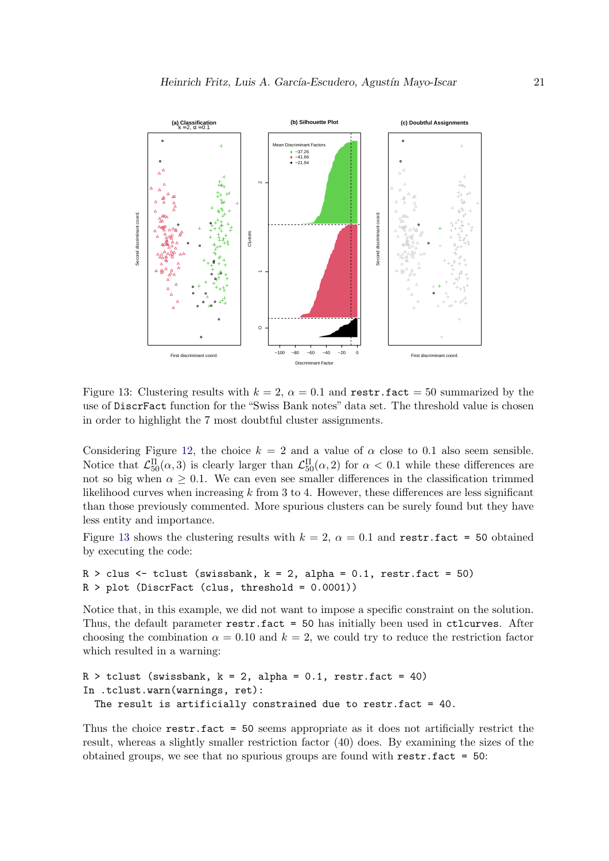

<span id="page-20-0"></span>Figure 13: Clustering results with  $k = 2$ ,  $\alpha = 0.1$  and restr.fact = 50 summarized by the use of DiscrFact function for the "Swiss Bank notes" data set. The threshold value is chosen in order to highlight the 7 most doubtful cluster assignments.

Considering Figure [12,](#page-19-1) the choice  $k = 2$  and a value of  $\alpha$  close to 0.1 also seem sensible. Notice that  $\mathcal{L}_{50}^{\Pi}(\alpha,3)$  is clearly larger than  $\mathcal{L}_{50}^{\Pi}(\alpha,2)$  for  $\alpha < 0.1$  while these differences are not so big when  $\alpha \geq 0.1$ . We can even see smaller differences in the classification trimmed likelihood curves when increasing  $k$  from 3 to 4. However, these differences are less significant than those previously commented. More spurious clusters can be surely found but they have less entity and importance.

Figure [13](#page-20-0) shows the clustering results with  $k = 2$ ,  $\alpha = 0.1$  and restr.fact = 50 obtained by executing the code:

```
R > clus < - tclust (swissbank, k = 2, alpha = 0.1, restr.fact = 50)
R > plot (DiscrFact (clus, threshold = 0.0001))
```
Notice that, in this example, we did not want to impose a specific constraint on the solution. Thus, the default parameter restr.fact = 50 has initially been used in ctlcurves. After choosing the combination  $\alpha = 0.10$  and  $k = 2$ , we could try to reduce the restriction factor which resulted in a warning:

```
R > tclust (swissbank, k = 2, alpha = 0.1, restr.fact = 40)
In .tclust.warn(warnings, ret):
  The result is artificially constrained due to restr.fact = 40.
```
Thus the choice restr.fact = 50 seems appropriate as it does not artificially restrict the result, whereas a slightly smaller restriction factor (40) does. By examining the sizes of the obtained groups, we see that no spurious groups are found with  $\text{restr.fact} = 50$ :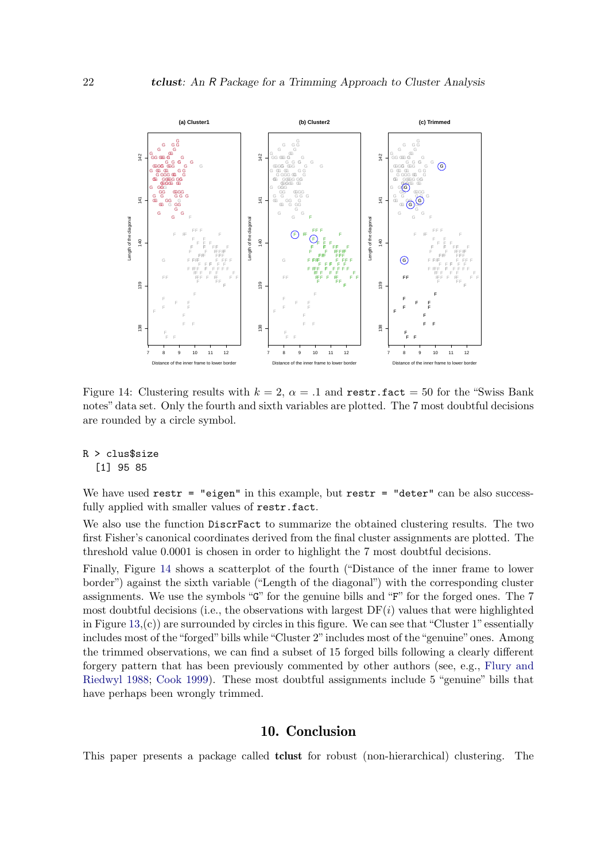

<span id="page-21-0"></span>Figure 14: Clustering results with  $k = 2$ ,  $\alpha = .1$  and restr.fact = 50 for the "Swiss Bank" notes" data set. Only the fourth and sixth variables are plotted. The 7 most doubtful decisions are rounded by a circle symbol.

#### R > clus\$size [1] 95 85

We have used  $\texttt{restr} = \texttt{"eigen"}$  in this example, but  $\texttt{restr} = \texttt{"deter"}$  can be also successfully applied with smaller values of restr.fact.

We also use the function DiscrFact to summarize the obtained clustering results. The two first Fisher's canonical coordinates derived from the final cluster assignments are plotted. The threshold value 0.0001 is chosen in order to highlight the 7 most doubtful decisions.

Finally, Figure [14](#page-21-0) shows a scatterplot of the fourth ("Distance of the inner frame to lower border") against the sixth variable ("Length of the diagonal") with the corresponding cluster assignments. We use the symbols "G" for the genuine bills and "F" for the forged ones. The 7 most doubtful decisions (i.e., the observations with largest  $DF(i)$  values that were highlighted in Figure  $13<sub>i</sub>(c)$  are surrounded by circles in this figure. We can see that "Cluster 1" essentially includes most of the"forged"bills while"Cluster 2"includes most of the"genuine"ones. Among the trimmed observations, we can find a subset of 15 forged bills following a clearly different forgery pattern that has been previously commented by other authors (see, e.g., [Flury and](#page-22-7) [Riedwyl](#page-22-7) [1988;](#page-22-7) [Cook](#page-22-8) [1999\)](#page-22-8). These most doubtful assignments include 5 "genuine" bills that have perhaps been wrongly trimmed.

#### 10. Conclusion

This paper presents a package called tclust for robust (non-hierarchical) clustering. The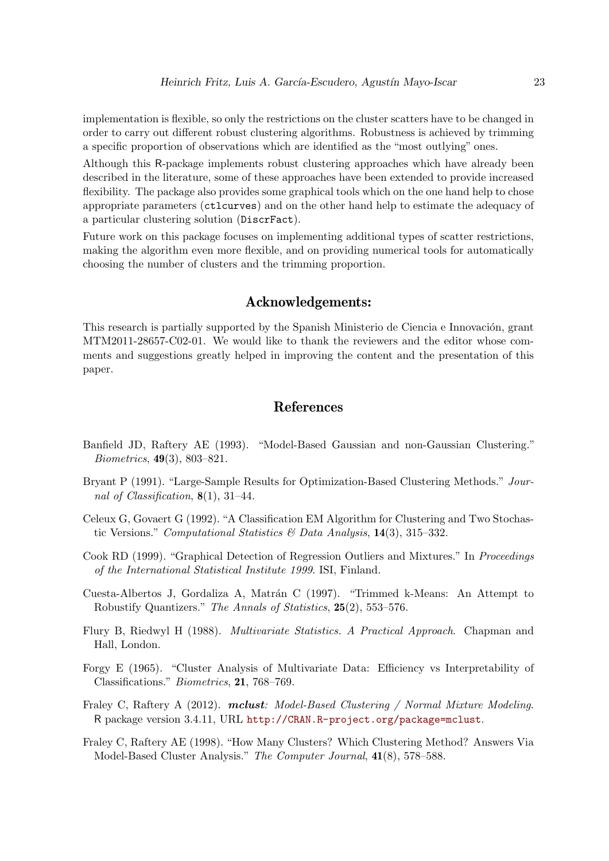implementation is flexible, so only the restrictions on the cluster scatters have to be changed in order to carry out different robust clustering algorithms. Robustness is achieved by trimming a specific proportion of observations which are identified as the "most outlying" ones.

Although this R-package implements robust clustering approaches which have already been described in the literature, some of these approaches have been extended to provide increased flexibility. The package also provides some graphical tools which on the one hand help to chose appropriate parameters (ctlcurves) and on the other hand help to estimate the adequacy of a particular clustering solution (DiscrFact).

Future work on this package focuses on implementing additional types of scatter restrictions, making the algorithm even more flexible, and on providing numerical tools for automatically choosing the number of clusters and the trimming proportion.

### Acknowledgements:

This research is partially supported by the Spanish Ministerio de Ciencia e Innovación, grant MTM2011-28657-C02-01. We would like to thank the reviewers and the editor whose comments and suggestions greatly helped in improving the content and the presentation of this paper.

### References

- <span id="page-22-2"></span>Banfield JD, Raftery AE (1993). "Model-Based Gaussian and non-Gaussian Clustering." Biometrics, 49(3), 803–821.
- <span id="page-22-6"></span>Bryant P (1991). "Large-Sample Results for Optimization-Based Clustering Methods." Journal of Classification,  $8(1)$ , 31–44.
- <span id="page-22-4"></span>Celeux G, Govaert G (1992). "A Classification EM Algorithm for Clustering and Two Stochastic Versions." Computational Statistics & Data Analysis,  $14(3)$ ,  $315-332$ .
- <span id="page-22-8"></span>Cook RD (1999). "Graphical Detection of Regression Outliers and Mixtures." In Proceedings of the International Statistical Institute 1999. ISI, Finland.
- <span id="page-22-0"></span>Cuesta-Albertos J, Gordaliza A, Matrán C (1997). "Trimmed k-Means: An Attempt to Robustify Quantizers." The Annals of Statistics, 25(2), 553–576.
- <span id="page-22-7"></span>Flury B, Riedwyl H (1988). Multivariate Statistics. A Practical Approach. Chapman and Hall, London.
- <span id="page-22-5"></span>Forgy E (1965). "Cluster Analysis of Multivariate Data: Efficiency vs Interpretability of Classifications." Biometrics, 21, 768–769.
- <span id="page-22-1"></span>Fraley C, Raftery A (2012). **mclust**: Model-Based Clustering / Normal Mixture Modeling. R package version 3.4.11, URL <http://CRAN.R-project.org/package=mclust>.
- <span id="page-22-3"></span>Fraley C, Raftery AE (1998). "How Many Clusters? Which Clustering Method? Answers Via Model-Based Cluster Analysis." The Computer Journal, 41(8), 578–588.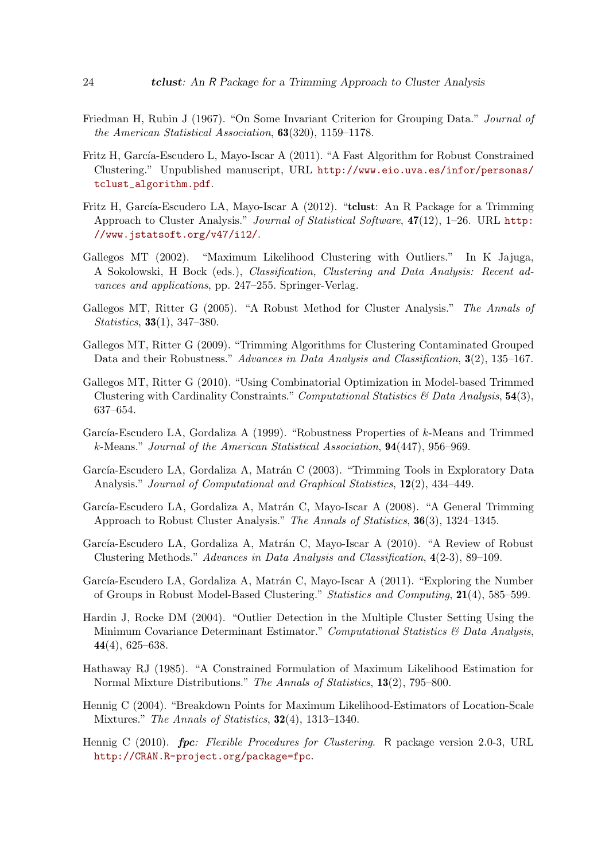- <span id="page-23-8"></span>Friedman H, Rubin J (1967). "On Some Invariant Criterion for Grouping Data." Journal of the American Statistical Association, 63(320), 1159–1178.
- <span id="page-23-12"></span>Fritz H, García-Escudero L, Mayo-Iscar A (2011). "A Fast Algorithm for Robust Constrained Clustering." Unpublished manuscript, URL [http://www.eio.uva.es/infor/personas/](http://www.eio.uva.es/infor/personas/tclust_algorithm.pdf) [tclust\\_algorithm.pdf](http://www.eio.uva.es/infor/personas/tclust_algorithm.pdf).
- <span id="page-23-0"></span>Fritz H, García-Escudero LA, Mayo-Iscar A (2012). "tclust: An R Package for a Trimming Approach to Cluster Analysis." Journal of Statistical Software,  $47(12)$ , 1–26. URL [http:](http://www.jstatsoft.org/v47/i12/) [//www.jstatsoft.org/v47/i12/](http://www.jstatsoft.org/v47/i12/).
- <span id="page-23-5"></span>Gallegos MT (2002). "Maximum Likelihood Clustering with Outliers." In K Jajuga, A Sokolowski, H Bock (eds.), Classification, Clustering and Data Analysis: Recent advances and applications, pp. 247–255. Springer-Verlag.
- <span id="page-23-6"></span>Gallegos MT, Ritter G (2005). "A Robust Method for Cluster Analysis." The Annals of Statistics, 33(1), 347–380.
- <span id="page-23-10"></span>Gallegos MT, Ritter G (2009). "Trimming Algorithms for Clustering Contaminated Grouped Data and their Robustness." Advances in Data Analysis and Classification, 3(2), 135–167.
- <span id="page-23-11"></span>Gallegos MT, Ritter G (2010). "Using Combinatorial Optimization in Model-based Trimmed Clustering with Cardinality Constraints." Computational Statistics  $\mathcal{B}$  Data Analysis, 54(3), 637–654.
- <span id="page-23-1"></span>García-Escudero LA, Gordaliza A (1999). "Robustness Properties of  $k$ -Means and Trimmed k-Means." Journal of the American Statistical Association, 94(447), 956–969.
- <span id="page-23-4"></span>García-Escudero LA, Gordaliza A, Matrán C (2003). "Trimming Tools in Exploratory Data Analysis." Journal of Computational and Graphical Statistics,  $12(2)$ , 434–449.
- <span id="page-23-7"></span>García-Escudero LA, Gordaliza A, Matrán C, Mayo-Iscar A (2008). "A General Trimming Approach to Robust Cluster Analysis." The Annals of Statistics, 36(3), 1324–1345.
- <span id="page-23-2"></span>García-Escudero LA, Gordaliza A, Matrán C, Mayo-Iscar A (2010). "A Review of Robust Clustering Methods." Advances in Data Analysis and Classification, 4(2-3), 89–109.
- <span id="page-23-14"></span>García-Escudero LA, Gordaliza A, Matrán C, Mayo-Iscar A (2011). "Exploring the Number of Groups in Robust Model-Based Clustering." Statistics and Computing, 21(4), 585–599.
- <span id="page-23-3"></span>Hardin J, Rocke DM (2004). "Outlier Detection in the Multiple Cluster Setting Using the Minimum Covariance Determinant Estimator." Computational Statistics & Data Analysis, 44(4), 625–638.
- <span id="page-23-9"></span>Hathaway RJ (1985). "A Constrained Formulation of Maximum Likelihood Estimation for Normal Mixture Distributions." The Annals of Statistics, 13(2), 795–800.
- <span id="page-23-13"></span>Hennig C (2004). "Breakdown Points for Maximum Likelihood-Estimators of Location-Scale Mixtures." The Annals of Statistics, 32(4), 1313–1340.
- <span id="page-23-15"></span>Hennig C (2010). **fpc**: Flexible Procedures for Clustering. R package version 2.0-3, URL <http://CRAN.R-project.org/package=fpc>.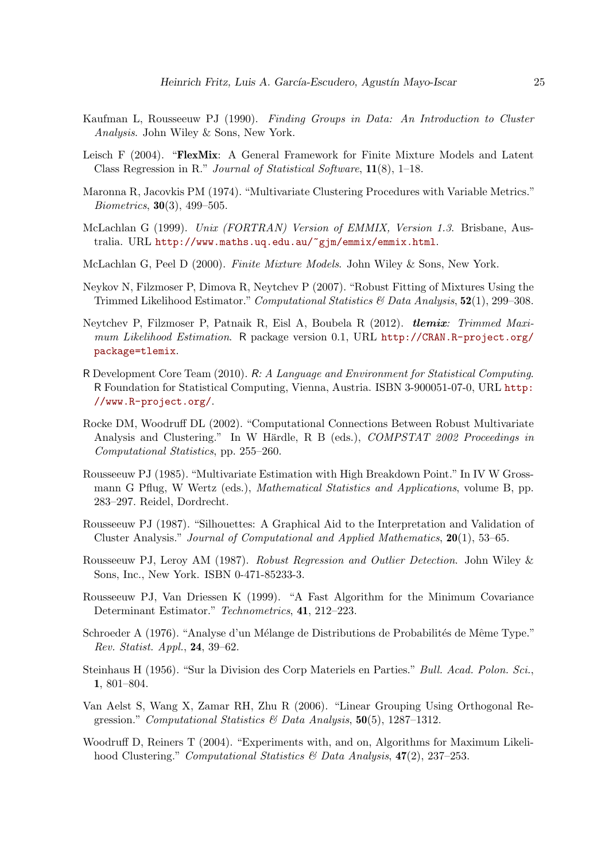- <span id="page-24-13"></span>Kaufman L, Rousseeuw PJ (1990). Finding Groups in Data: An Introduction to Cluster Analysis. John Wiley & Sons, New York.
- <span id="page-24-14"></span>Leisch F (2004). "**FlexMix**: A General Framework for Finite Mixture Models and Latent Class Regression in R." Journal of Statistical Software, 11(8), 1–18.
- <span id="page-24-9"></span>Maronna R, Jacovkis PM (1974). "Multivariate Clustering Procedures with Variable Metrics." Biometrics, 30(3), 499–505.
- <span id="page-24-4"></span>McLachlan G (1999). Unix (FORTRAN) Version of EMMIX, Version 1.3. Brisbane, Australia. URL <http://www.maths.uq.edu.au/~gjm/emmix/emmix.html>.
- <span id="page-24-5"></span>McLachlan G, Peel D (2000). Finite Mixture Models. John Wiley & Sons, New York.
- <span id="page-24-7"></span>Neykov N, Filzmoser P, Dimova R, Neytchev P (2007). "Robust Fitting of Mixtures Using the Trimmed Likelihood Estimator." Computational Statistics & Data Analysis,  $52(1)$ , 299–308.
- <span id="page-24-6"></span>Neytchev P, Filzmoser P, Patnaik R, Eisl A, Boubela R (2012). tlemix: Trimmed Maximum Likelihood Estimation. R package version 0.1, URL [http://CRAN.R-project.org/](http://CRAN.R-project.org/package=tlemix) [package=tlemix](http://CRAN.R-project.org/package=tlemix).
- <span id="page-24-2"></span>R Development Core Team (2010). R: A Language and Environment for Statistical Computing. R Foundation for Statistical Computing, Vienna, Austria. ISBN 3-900051-07-0, URL [http:](http://www.R-project.org/) [//www.R-project.org/](http://www.R-project.org/).
- <span id="page-24-0"></span>Rocke DM, Woodruff DL (2002). "Computational Connections Between Robust Multivariate Analysis and Clustering." In W Härdle, R B (eds.), COMPSTAT 2002 Proceedings in Computational Statistics, pp. 255–260.
- <span id="page-24-8"></span>Rousseeuw PJ (1985). "Multivariate Estimation with High Breakdown Point." In IV W Grossmann G Pflug, W Wertz (eds.), Mathematical Statistics and Applications, volume B, pp. 283–297. Reidel, Dordrecht.
- <span id="page-24-16"></span>Rousseeuw PJ (1987). "Silhouettes: A Graphical Aid to the Interpretation and Validation of Cluster Analysis." Journal of Computational and Applied Mathematics, 20(1), 53–65.
- <span id="page-24-3"></span>Rousseeuw PJ, Leroy AM (1987). Robust Regression and Outlier Detection. John Wiley & Sons, Inc., New York. ISBN 0-471-85233-3.
- <span id="page-24-11"></span>Rousseeuw PJ, Van Driessen K (1999). "A Fast Algorithm for the Minimum Covariance Determinant Estimator." Technometrics, 41, 212–223.
- <span id="page-24-10"></span>Schroeder A (1976). "Analyse d'un Mélange de Distributions de Probabilités de Même Type." Rev. Statist. Appl., 24, 39–62.
- <span id="page-24-12"></span>Steinhaus H (1956). "Sur la Division des Corp Materiels en Parties." Bull. Acad. Polon. Sci., 1, 801–804.
- <span id="page-24-15"></span>Van Aelst S, Wang X, Zamar RH, Zhu R (2006). "Linear Grouping Using Orthogonal Regression." Computational Statistics & Data Analysis,  $50(5)$ , 1287-1312.
- <span id="page-24-1"></span>Woodruff D, Reiners T (2004). "Experiments with, and on, Algorithms for Maximum Likelihood Clustering." Computational Statistics & Data Analysis,  $47(2)$ , 237–253.